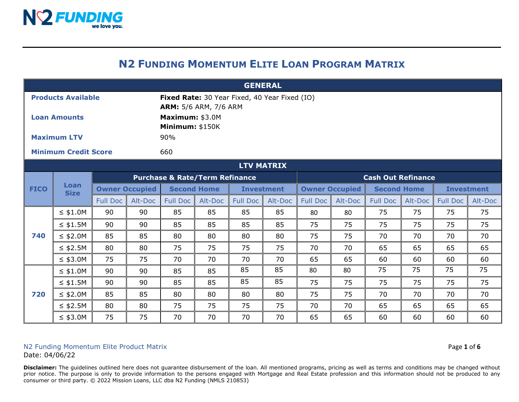

## **N2 FUNDING MOMENTUM ELITE LOAN PROGRAM MATRIX**

| <b>GENERAL</b>              |                     |                       |         |                                                                               |         |                   |                           |                       |         |                    |         |                   |         |
|-----------------------------|---------------------|-----------------------|---------|-------------------------------------------------------------------------------|---------|-------------------|---------------------------|-----------------------|---------|--------------------|---------|-------------------|---------|
| <b>Products Available</b>   |                     |                       |         | Fixed Rate: 30 Year Fixed, 40 Year Fixed (IO)<br><b>ARM:</b> 5/6 ARM, 7/6 ARM |         |                   |                           |                       |         |                    |         |                   |         |
| <b>Loan Amounts</b>         |                     |                       |         | Maximum: \$3.0M<br>Minimum: \$150K                                            |         |                   |                           |                       |         |                    |         |                   |         |
| <b>Maximum LTV</b>          |                     |                       |         | 90%                                                                           |         |                   |                           |                       |         |                    |         |                   |         |
| <b>Minimum Credit Score</b> |                     |                       |         | 660                                                                           |         |                   |                           |                       |         |                    |         |                   |         |
| <b>LTV MATRIX</b>           |                     |                       |         |                                                                               |         |                   |                           |                       |         |                    |         |                   |         |
| <b>FICO</b>                 | Loan<br><b>Size</b> |                       |         | <b>Purchase &amp; Rate/Term Refinance</b>                                     |         |                   | <b>Cash Out Refinance</b> |                       |         |                    |         |                   |         |
|                             |                     | <b>Owner Occupied</b> |         | <b>Second Home</b>                                                            |         | <b>Investment</b> |                           | <b>Owner Occupied</b> |         | <b>Second Home</b> |         | <b>Investment</b> |         |
|                             |                     | <b>Full Doc</b>       | Alt-Doc | <b>Full Doc</b>                                                               | Alt-Doc | <b>Full Doc</b>   | Alt-Doc                   | <b>Full Doc</b>       | Alt-Doc | <b>Full Doc</b>    | Alt-Doc | <b>Full Doc</b>   | Alt-Doc |
|                             | $\leq$ \$1.0M       | 90                    | 90      | 85                                                                            | 85      | 85                | 85                        | 80                    | 80      | 75                 | 75      | 75                | 75      |
|                             | $\leq$ \$1.5M       | 90                    | 90      | 85                                                                            | 85      | 85                | 85                        | 75                    | 75      | 75                 | 75      | 75                | 75      |
| 740                         | $\leq$ \$2.0M       | 85                    | 85      | 80                                                                            | 80      | 80                | 80                        | 75                    | 75      | 70                 | 70      | 70                | 70      |
|                             | $\leq$ \$2.5M       | 80                    | 80      | 75                                                                            | 75      | 75                | 75                        | 70                    | 70      | 65                 | 65      | 65                | 65      |
|                             | $\leq$ \$3.0M       | 75                    | 75      | 70                                                                            | 70      | 70                | 70                        | 65                    | 65      | 60                 | 60      | 60                | 60      |
| 720                         | $\leq$ \$1.0M       | 90                    | 90      | 85                                                                            | 85      | 85                | 85                        | 80                    | 80      | 75                 | 75      | 75                | 75      |
|                             | $\leq$ \$1.5M       | 90                    | 90      | 85                                                                            | 85      | 85                | 85                        | 75                    | 75      | 75                 | 75      | 75                | 75      |
|                             | $\leq$ \$2.0M       | 85                    | 85      | 80                                                                            | 80      | 80                | 80                        | 75                    | 75      | 70                 | 70      | 70                | 70      |
|                             | $\leq$ \$2.5M       | 80                    | 80      | 75                                                                            | 75      | 75                | 75                        | 70                    | 70      | 65                 | 65      | 65                | 65      |
|                             | $\leq$ \$3.0M       | 75                    | 75      | 70                                                                            | 70      | 70                | 70                        | 65                    | 65      | 60                 | 60      | 60                | 60      |

## N2 Funding Momentum Elite Product Matrix **Page 1** of 6

Date: 04/06/22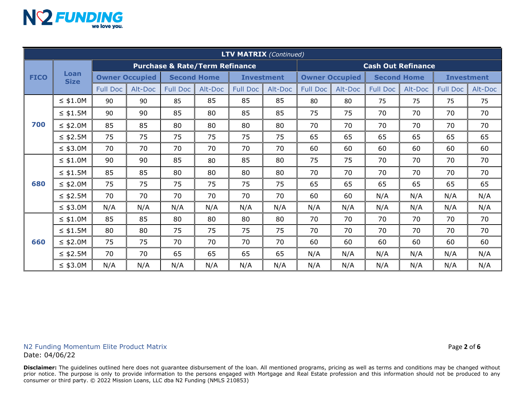

| <b>LTV MATRIX (Continued)</b> |                     |                                           |         |                    |         |                   |                           |                       |         |                    |         |                   |         |
|-------------------------------|---------------------|-------------------------------------------|---------|--------------------|---------|-------------------|---------------------------|-----------------------|---------|--------------------|---------|-------------------|---------|
| <b>FICO</b>                   | Loan<br><b>Size</b> | <b>Purchase &amp; Rate/Term Refinance</b> |         |                    |         |                   | <b>Cash Out Refinance</b> |                       |         |                    |         |                   |         |
|                               |                     | <b>Owner Occupied</b>                     |         | <b>Second Home</b> |         | <b>Investment</b> |                           | <b>Owner Occupied</b> |         | <b>Second Home</b> |         | <b>Investment</b> |         |
|                               |                     | <b>Full Doc</b>                           | Alt-Doc | <b>Full Doc</b>    | Alt-Doc | <b>Full Doc</b>   | Alt-Doc                   | <b>Full Doc</b>       | Alt-Doc | <b>Full Doc</b>    | Alt-Doc | <b>Full Doc</b>   | Alt-Doc |
| 700                           | $\leq$ \$1.0M       | 90                                        | 90      | 85                 | 85      | 85                | 85                        | 80                    | 80      | 75                 | 75      | 75                | 75      |
|                               | $\leq$ \$1.5M       | 90                                        | 90      | 85                 | 80      | 85                | 85                        | 75                    | 75      | 70                 | 70      | 70                | 70      |
|                               | $≤$ \$2.0M          | 85                                        | 85      | 80                 | 80      | 80                | 80                        | 70                    | 70      | 70                 | 70      | 70                | 70      |
|                               | $\leq$ \$2.5M       | 75                                        | 75      | 75                 | 75      | 75                | 75                        | 65                    | 65      | 65                 | 65      | 65                | 65      |
|                               | $\leq$ \$3.0M       | 70                                        | 70      | 70                 | 70      | 70                | 70                        | 60                    | 60      | 60                 | 60      | 60                | 60      |
| 680                           | $\leq$ \$1.0M       | 90                                        | 90      | 85                 | 80      | 85                | 80                        | 75                    | 75      | 70                 | 70      | 70                | 70      |
|                               | $\leq$ \$1.5M       | 85                                        | 85      | 80                 | 80      | 80                | 80                        | 70                    | 70      | 70                 | 70      | 70                | 70      |
|                               | $\leq$ \$2.0M       | 75                                        | 75      | 75                 | 75      | 75                | 75                        | 65                    | 65      | 65                 | 65      | 65                | 65      |
|                               | $\leq$ \$2.5M       | 70                                        | 70      | 70                 | 70      | 70                | 70                        | 60                    | 60      | N/A                | N/A     | N/A               | N/A     |
|                               | $\leq$ \$3.0M       | N/A                                       | N/A     | N/A                | N/A     | N/A               | N/A                       | N/A                   | N/A     | N/A                | N/A     | N/A               | N/A     |
| 660                           | $\leq$ \$1.0M       | 85                                        | 85      | 80                 | 80      | 80                | 80                        | 70                    | 70      | 70                 | 70      | 70                | 70      |
|                               | $\leq$ \$1.5M       | 80                                        | 80      | 75                 | 75      | 75                | 75                        | 70                    | 70      | 70                 | 70      | 70                | 70      |
|                               | $≤$ \$2.0M          | 75                                        | 75      | 70                 | 70      | 70                | 70                        | 60                    | 60      | 60                 | 60      | 60                | 60      |
|                               | $\leq$ \$2.5M       | 70                                        | 70      | 65                 | 65      | 65                | 65                        | N/A                   | N/A     | N/A                | N/A     | N/A               | N/A     |
|                               | $\leq$ \$3.0M       | N/A                                       | N/A     | N/A                | N/A     | N/A               | N/A                       | N/A                   | N/A     | N/A                | N/A     | N/A               | N/A     |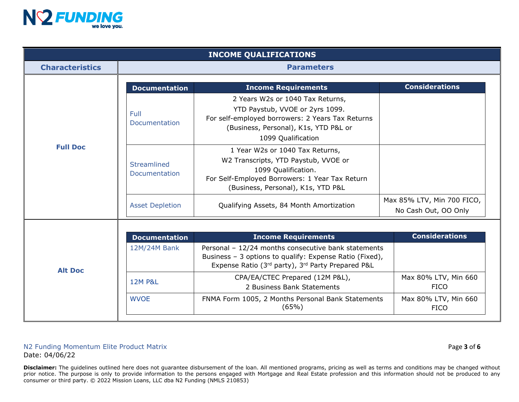

| <b>INCOME QUALIFICATIONS</b> |                              |                                                                                                                                                                                        |                                                    |  |  |  |  |  |
|------------------------------|------------------------------|----------------------------------------------------------------------------------------------------------------------------------------------------------------------------------------|----------------------------------------------------|--|--|--|--|--|
| <b>Characteristics</b>       | <b>Parameters</b>            |                                                                                                                                                                                        |                                                    |  |  |  |  |  |
|                              | <b>Documentation</b>         | <b>Considerations</b><br><b>Income Requirements</b>                                                                                                                                    |                                                    |  |  |  |  |  |
|                              | <b>Full</b><br>Documentation | 2 Years W2s or 1040 Tax Returns,<br>YTD Paystub, VVOE or 2yrs 1099.<br>For self-employed borrowers: 2 Years Tax Returns<br>(Business, Personal), K1s, YTD P&L or<br>1099 Qualification |                                                    |  |  |  |  |  |
| <b>Full Doc</b>              | Streamlined<br>Documentation | 1 Year W2s or 1040 Tax Returns,<br>W2 Transcripts, YTD Paystub, VVOE or<br>1099 Qualification.<br>For Self-Employed Borrowers: 1 Year Tax Return<br>(Business, Personal), K1s, YTD P&L |                                                    |  |  |  |  |  |
|                              | <b>Asset Depletion</b>       | Qualifying Assets, 84 Month Amortization                                                                                                                                               | Max 85% LTV, Min 700 FICO,<br>No Cash Out, OO Only |  |  |  |  |  |
|                              |                              |                                                                                                                                                                                        |                                                    |  |  |  |  |  |
|                              | <b>Documentation</b>         | <b>Income Requirements</b>                                                                                                                                                             | <b>Considerations</b>                              |  |  |  |  |  |
| <b>Alt Doc</b>               | 12M/24M Bank                 | Personal - 12/24 months consecutive bank statements<br>Business - 3 options to qualify: Expense Ratio (Fixed),<br>Expense Ratio (3rd party), 3rd Party Prepared P&L                    |                                                    |  |  |  |  |  |
|                              | <b>12M P&amp;L</b>           | CPA/EA/CTEC Prepared (12M P&L),<br>2 Business Bank Statements                                                                                                                          | Max 80% LTV, Min 660<br><b>FICO</b>                |  |  |  |  |  |
|                              | <b>WVOE</b>                  | FNMA Form 1005, 2 Months Personal Bank Statements<br>(65%)                                                                                                                             | Max 80% LTV, Min 660<br><b>FICO</b>                |  |  |  |  |  |

## N2 Funding Momentum Elite Product Matrix Page **3** of **6** Date: 04/06/22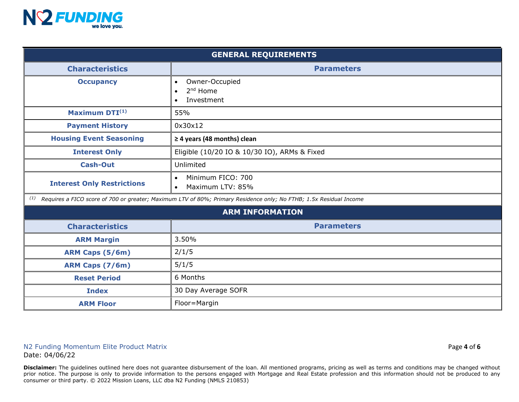

| <b>GENERAL REQUIREMENTS</b>       |                                                                                                                    |  |  |  |  |
|-----------------------------------|--------------------------------------------------------------------------------------------------------------------|--|--|--|--|
| <b>Characteristics</b>            | <b>Parameters</b>                                                                                                  |  |  |  |  |
| <b>Occupancy</b>                  | Owner-Occupied<br>$\bullet$<br>2 <sup>nd</sup> Home<br>$\bullet$<br>Investment<br>$\bullet$                        |  |  |  |  |
| Maximum DTI(1)                    | 55%                                                                                                                |  |  |  |  |
| <b>Payment History</b>            | 0x30x12                                                                                                            |  |  |  |  |
| <b>Housing Event Seasoning</b>    | $\geq$ 4 years (48 months) clean                                                                                   |  |  |  |  |
| <b>Interest Only</b>              | Eligible (10/20 IO & 10/30 IO), ARMs & Fixed                                                                       |  |  |  |  |
| <b>Cash-Out</b>                   | Unlimited                                                                                                          |  |  |  |  |
| <b>Interest Only Restrictions</b> | Minimum FICO: 700<br>$\bullet$<br>Maximum LTV: 85%<br>$\bullet$                                                    |  |  |  |  |
| (1)                               | Requires a FICO score of 700 or greater; Maximum LTV of 80%; Primary Residence only; No FTHB; 1.5x Residual Income |  |  |  |  |
|                                   | <b>ARM INFORMATION</b>                                                                                             |  |  |  |  |
| <b>Characteristics</b>            | <b>Parameters</b>                                                                                                  |  |  |  |  |
| <b>ARM Margin</b>                 | 3.50%                                                                                                              |  |  |  |  |
| ARM Caps (5/6m)                   | 2/1/5                                                                                                              |  |  |  |  |
| ARM Caps (7/6m)                   | 5/1/5                                                                                                              |  |  |  |  |
| <b>Reset Period</b>               | 6 Months                                                                                                           |  |  |  |  |
| <b>Index</b>                      | 30 Day Average SOFR                                                                                                |  |  |  |  |
| <b>ARM Floor</b>                  | Floor=Margin                                                                                                       |  |  |  |  |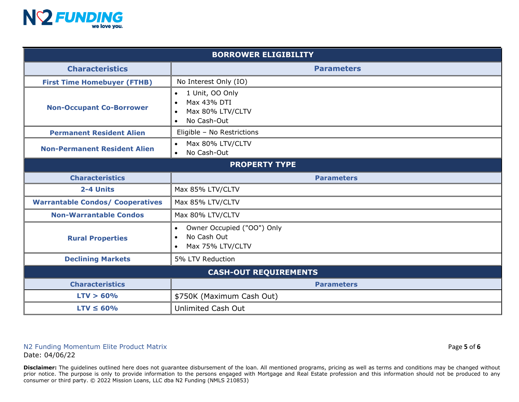

| <b>BORROWER ELIGIBILITY</b>             |                                                                                                                       |  |  |  |  |  |
|-----------------------------------------|-----------------------------------------------------------------------------------------------------------------------|--|--|--|--|--|
| <b>Characteristics</b>                  | <b>Parameters</b>                                                                                                     |  |  |  |  |  |
| <b>First Time Homebuyer (FTHB)</b>      | No Interest Only (IO)                                                                                                 |  |  |  |  |  |
| <b>Non-Occupant Co-Borrower</b>         | 1 Unit, OO Only<br>$\bullet$<br>Max 43% DTI<br>$\bullet$<br>Max 80% LTV/CLTV<br>$\bullet$<br>No Cash-Out<br>$\bullet$ |  |  |  |  |  |
| <b>Permanent Resident Alien</b>         | Eligible - No Restrictions                                                                                            |  |  |  |  |  |
| <b>Non-Permanent Resident Alien</b>     | Max 80% LTV/CLTV<br>$\bullet$<br>No Cash-Out<br>$\bullet$                                                             |  |  |  |  |  |
| <b>PROPERTY TYPE</b>                    |                                                                                                                       |  |  |  |  |  |
| <b>Characteristics</b>                  | <b>Parameters</b>                                                                                                     |  |  |  |  |  |
| 2-4 Units                               | Max 85% LTV/CLTV                                                                                                      |  |  |  |  |  |
| <b>Warrantable Condos/ Cooperatives</b> | Max 85% LTV/CLTV                                                                                                      |  |  |  |  |  |
| <b>Non-Warrantable Condos</b>           | Max 80% LTV/CLTV                                                                                                      |  |  |  |  |  |
| <b>Rural Properties</b>                 | Owner Occupied ("OO") Only<br>$\bullet$<br>No Cash Out<br>$\bullet$<br>Max 75% LTV/CLTV<br>$\bullet$                  |  |  |  |  |  |
| <b>Declining Markets</b>                | 5% LTV Reduction                                                                                                      |  |  |  |  |  |
| <b>CASH-OUT REQUIREMENTS</b>            |                                                                                                                       |  |  |  |  |  |
| <b>Characteristics</b>                  | <b>Parameters</b>                                                                                                     |  |  |  |  |  |
| LTV > 60%                               | \$750K (Maximum Cash Out)                                                                                             |  |  |  |  |  |
| $LTV \leq 60\%$                         | <b>Unlimited Cash Out</b>                                                                                             |  |  |  |  |  |

## N2 Funding Momentum Elite Product Matrix Page **5** of **6** Date: 04/06/22